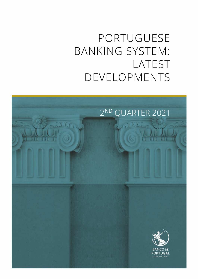# PORTUGUESE BANKING SYSTEM: LATEST DEVELOPMENTS

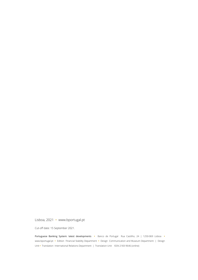Lisboa, 2021 • [www.bportugal.pt](file://bdp.pt/dfs/dcm/grupos/DCMPI/Ativo/Publicacoes/Relatorios/Novo%20layout%202018/Template/www.bportugal.pt)

Cut-off date: 15 September 2021.

Portuguese Banking System: latest developments **•** Banco de Portugal Rua Castilho, 24 | 1250-069 Lisboa **•** www.bportugal.pt **•** Edition Financial Stability Department **•** Design Communication and Museum Department | Design Unit **•** Translation International Relations Department | Translation Unit ISSN 2183-9646 (online)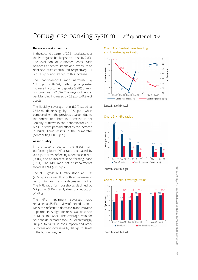## Portuguese banking system | 2<sup>nd</sup> quarter of 2021

#### **Balance-sheet structure**

In the second quarter of 2021 total assets of the Portuguese banking sector rose by 2.8%. The evolution of customer loans, cash balances at central banks and exposure to debt securities contributed respectively 1.1 p.p., 1.0 p.p. and 0.9 p.p. to this increase.

The loan-to-deposit ratio narrowed by 1.1 p.p. to 82.5%, reflecting a greater increase in customer deposits (3.4%) than in customer loans (2.0%). The weight of central bank funding increased by 0.3 p.p. to 9.3% of assets.

The liquidity coverage ratio (LCR) stood at 255.4%, decreasing by 10.5 p.p. when compared with the previous quarter, due to the contribution from the increase in net liquidity outflows in the denominator (27.2 p.p.). This was partially offset by the increase in highly liquid assets in the numerator (contributing +16.6 p.p.).

#### **Asset quality**

In the second quarter, the gross nonperforming loans (NPL) ratio decreased by 0.3 p.p. to 4.3%, reflecting a decrease in NPL (-4.0%) and an increase in performing loans (3.1%). The NPL ratio net of impairments stood at 1.9% (-0.1 p.p.).

The NFC gross NPL ratio stood at 8.7% (-0.5 p.p.) as a result of both an increase in performing loans and a decrease in NPLs. The NPL ratio for households declined by 0.2 p.p. to 3.1%, mainly due to a reduction of NPLs.

The NPL impairment coverage ratio remained at 55.5%. In view of the reduction of NPLs, this reflected a decrease in accumulated impairments. A slight decrease was observed in NFCs, to 56.9%. The coverage ratio for households increased to 51.2%, decreasing by 0.8 p.p. to 64.1% in consumption and other purposes and increasing by 3.8 p.p. to 34.4% in the housing segment.

**Chart 1 •** Central bank funding and loan-to-deposit ratio



Source: Banco de Portugal.





Source: Banco de Portugal.

**Chart 3 •** NPL coverage ratios



Source: Banco de Portugal.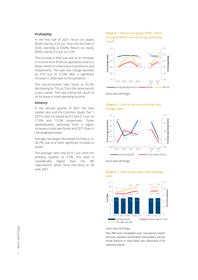#### **Profitability**

In the first half of 2021 return on assets (ROA) rose by 0.37 p.p. from the first half of 2020, standing at 0.44%. Return on equity (ROE) rose by 4.3 p.p. to 5.2%.

The increase in ROA was due to an increase in income from financial operations and to a lesser extent to a decrease in provisions and impairments. The loan loss charge declined by 0.59 p.p. to 0.33% after a significant increase in 2020 due to the pandemic.

The cost-to-income ratio stood at 53.2%, decreasing by 7.8 p.p. from the same period a year earlier. This was mainly the result of an increase in total operating income.

#### **Solvency**

In the second quarter of 2021 the total capital ratio and the Common Equity Tier 1 (CET1) ratio increased by 0.2 and 0.1 p.p., to 17.8% and 15.3% respectively. These developments stemmed from a higher increase in total own funds and CET1 than in risk-weighted assets.

Average risk weight decreased by 0.8 p.p. to 46.7%, due to a more significant increase in assets.

The leverage ratio rose by 0.1 p.p. from the previous quarter, to 7.5%. This level is considerably higher than the 3% requirement, which came into force on 28 June 2021.

#### **Chart 4 •** Return on equity (ROE), return on assets (ROA) and recurring operating result



Source: Banco de Portugal.



### **Chart 5 •** Cost-to-income and loan loss charge ratios

Source: Banco de Portugal.



### **Chart 6 •** Own funds ratios and leverage ratio

Source: Banco de Portugal.

Note: RWA means risk-weighted assets. Total exposure includes total assets, derivatives and off-balance sheet positions, and may exclude exposures to central banks upon authorisation of the supervisory authority.